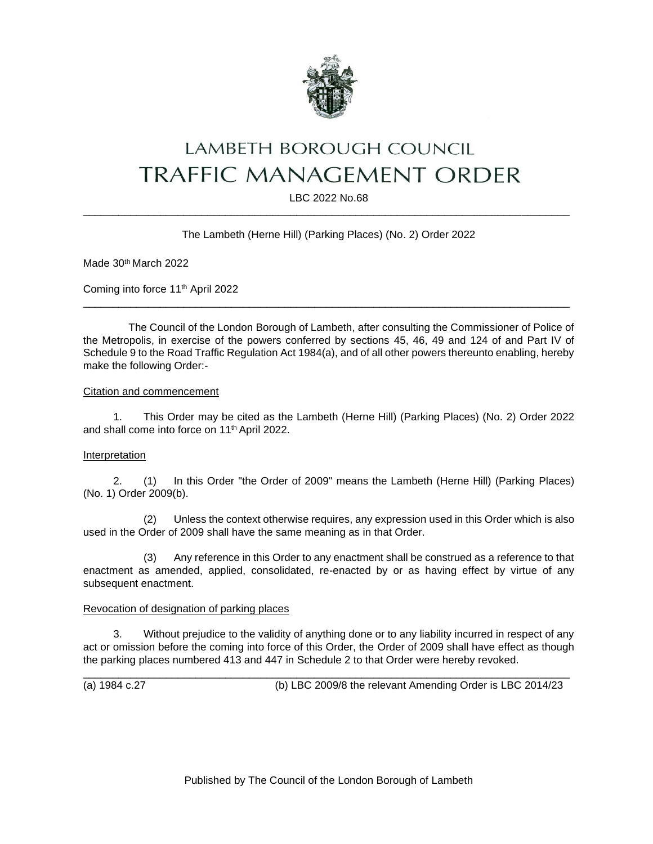

# LAMBETH BOROUGH COUNCIL **TRAFFIC MANAGEMENT ORDER**

LBC 2022 No.68 \_\_\_\_\_\_\_\_\_\_\_\_\_\_\_\_\_\_\_\_\_\_\_\_\_\_\_\_\_\_\_\_\_\_\_\_\_\_\_\_\_\_\_\_\_\_\_\_\_\_\_\_\_\_\_\_\_\_\_\_\_\_\_\_\_\_\_\_\_\_\_\_\_\_\_\_\_\_\_\_\_\_

# The Lambeth (Herne Hill) (Parking Places) (No. 2) Order 2022

Made 30th March 2022

Coming into force 11th April 2022

The Council of the London Borough of Lambeth, after consulting the Commissioner of Police of the Metropolis, in exercise of the powers conferred by sections 45, 46, 49 and 124 of and Part IV of Schedule 9 to the Road Traffic Regulation Act 1984(a), and of all other powers thereunto enabling, hereby make the following Order:-

\_\_\_\_\_\_\_\_\_\_\_\_\_\_\_\_\_\_\_\_\_\_\_\_\_\_\_\_\_\_\_\_\_\_\_\_\_\_\_\_\_\_\_\_\_\_\_\_\_\_\_\_\_\_\_\_\_\_\_\_\_\_\_\_\_\_\_\_\_\_\_\_\_\_\_\_\_\_\_\_\_\_

### Citation and commencement

1. This Order may be cited as the Lambeth (Herne Hill) (Parking Places) (No. 2) Order 2022 and shall come into force on 11th April 2022.

# Interpretation

2. (1) In this Order "the Order of 2009" means the Lambeth (Herne Hill) (Parking Places) (No. 1) Order 2009(b).

(2) Unless the context otherwise requires, any expression used in this Order which is also used in the Order of 2009 shall have the same meaning as in that Order.

(3) Any reference in this Order to any enactment shall be construed as a reference to that enactment as amended, applied, consolidated, re-enacted by or as having effect by virtue of any subsequent enactment.

### Revocation of designation of parking places

3. Without prejudice to the validity of anything done or to any liability incurred in respect of any act or omission before the coming into force of this Order, the Order of 2009 shall have effect as though the parking places numbered 413 and 447 in Schedule 2 to that Order were hereby revoked.

\_\_\_\_\_\_\_\_\_\_\_\_\_\_\_\_\_\_\_\_\_\_\_\_\_\_\_\_\_\_\_\_\_\_\_\_\_\_\_\_\_\_\_\_\_\_\_\_\_\_\_\_\_\_\_\_\_\_\_\_\_\_\_\_\_\_\_\_\_\_\_\_\_\_\_\_\_\_\_\_\_\_

(a) 1984 c.27 (b) LBC 2009/8 the relevant Amending Order is LBC 2014/23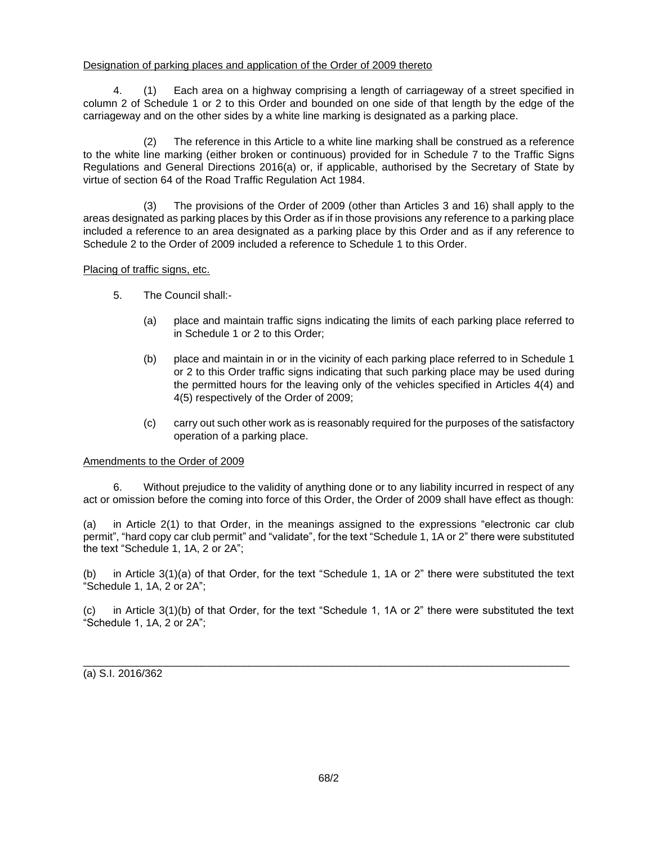## Designation of parking places and application of the Order of 2009 thereto

4. (1) Each area on a highway comprising a length of carriageway of a street specified in column 2 of Schedule 1 or 2 to this Order and bounded on one side of that length by the edge of the carriageway and on the other sides by a white line marking is designated as a parking place.

(2) The reference in this Article to a white line marking shall be construed as a reference to the white line marking (either broken or continuous) provided for in Schedule 7 to the Traffic Signs Regulations and General Directions 2016(a) or, if applicable, authorised by the Secretary of State by virtue of section 64 of the Road Traffic Regulation Act 1984.

(3) The provisions of the Order of 2009 (other than Articles 3 and 16) shall apply to the areas designated as parking places by this Order as if in those provisions any reference to a parking place included a reference to an area designated as a parking place by this Order and as if any reference to Schedule 2 to the Order of 2009 included a reference to Schedule 1 to this Order.

## Placing of traffic signs, etc.

- 5. The Council shall:-
	- (a) place and maintain traffic signs indicating the limits of each parking place referred to in Schedule 1 or 2 to this Order;
	- (b) place and maintain in or in the vicinity of each parking place referred to in Schedule 1 or 2 to this Order traffic signs indicating that such parking place may be used during the permitted hours for the leaving only of the vehicles specified in Articles 4(4) and 4(5) respectively of the Order of 2009;
	- (c) carry out such other work as is reasonably required for the purposes of the satisfactory operation of a parking place.

### Amendments to the Order of 2009

6. Without prejudice to the validity of anything done or to any liability incurred in respect of any act or omission before the coming into force of this Order, the Order of 2009 shall have effect as though:

(a) in Article 2(1) to that Order, in the meanings assigned to the expressions "electronic car club permit", "hard copy car club permit" and "validate", for the text "Schedule 1, 1A or 2" there were substituted the text "Schedule 1, 1A, 2 or 2A";

(b) in Article 3(1)(a) of that Order, for the text "Schedule 1, 1A or 2" there were substituted the text "Schedule 1, 1A, 2 or 2A";

(c) in Article 3(1)(b) of that Order, for the text "Schedule 1, 1A or 2" there were substituted the text "Schedule 1, 1A, 2 or 2A";

\_\_\_\_\_\_\_\_\_\_\_\_\_\_\_\_\_\_\_\_\_\_\_\_\_\_\_\_\_\_\_\_\_\_\_\_\_\_\_\_\_\_\_\_\_\_\_\_\_\_\_\_\_\_\_\_\_\_\_\_\_\_\_\_\_\_\_\_\_\_\_\_\_\_\_\_\_\_\_\_\_\_

(a) S.I. 2016/362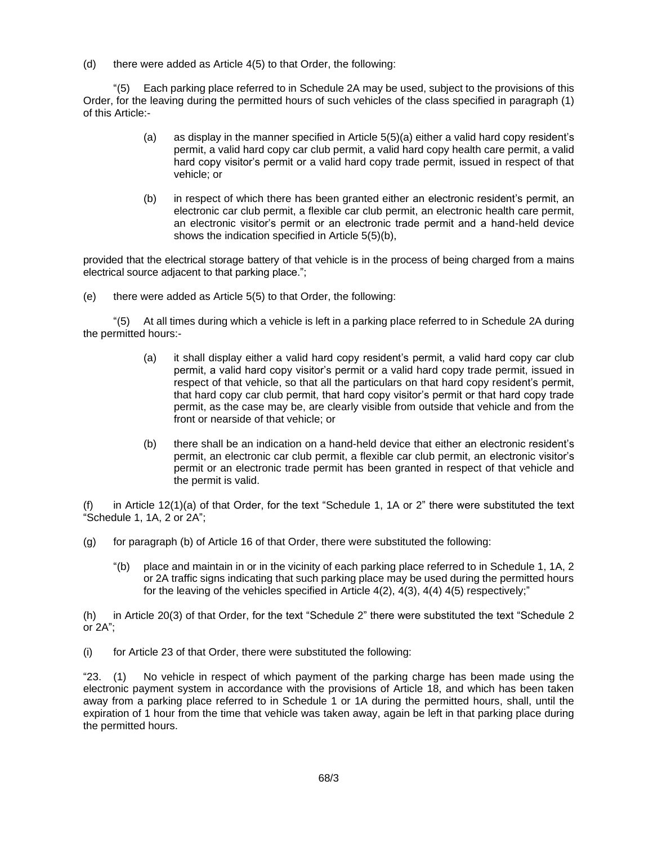(d) there were added as Article 4(5) to that Order, the following:

"(5) Each parking place referred to in Schedule 2A may be used, subject to the provisions of this Order, for the leaving during the permitted hours of such vehicles of the class specified in paragraph (1) of this Article:-

- (a) as display in the manner specified in Article 5(5)(a) either a valid hard copy resident's permit, a valid hard copy car club permit, a valid hard copy health care permit, a valid hard copy visitor's permit or a valid hard copy trade permit, issued in respect of that vehicle; or
- (b) in respect of which there has been granted either an electronic resident's permit, an electronic car club permit, a flexible car club permit, an electronic health care permit, an electronic visitor's permit or an electronic trade permit and a hand-held device shows the indication specified in Article 5(5)(b),

provided that the electrical storage battery of that vehicle is in the process of being charged from a mains electrical source adjacent to that parking place.";

(e) there were added as Article 5(5) to that Order, the following:

"(5) At all times during which a vehicle is left in a parking place referred to in Schedule 2A during the permitted hours:-

- (a) it shall display either a valid hard copy resident's permit, a valid hard copy car club permit, a valid hard copy visitor's permit or a valid hard copy trade permit, issued in respect of that vehicle, so that all the particulars on that hard copy resident's permit, that hard copy car club permit, that hard copy visitor's permit or that hard copy trade permit, as the case may be, are clearly visible from outside that vehicle and from the front or nearside of that vehicle; or
- (b) there shall be an indication on a hand-held device that either an electronic resident's permit, an electronic car club permit, a flexible car club permit, an electronic visitor's permit or an electronic trade permit has been granted in respect of that vehicle and the permit is valid.

in Article  $12(1)(a)$  of that Order, for the text "Schedule 1, 1A or 2" there were substituted the text "Schedule 1, 1A, 2 or 2A";

- (g) for paragraph (b) of Article 16 of that Order, there were substituted the following:
	- "(b) place and maintain in or in the vicinity of each parking place referred to in Schedule 1, 1A, 2 or 2A traffic signs indicating that such parking place may be used during the permitted hours for the leaving of the vehicles specified in Article 4(2), 4(3), 4(4) 4(5) respectively;"

(h) in Article 20(3) of that Order, for the text "Schedule 2" there were substituted the text "Schedule 2 or 2A";

(i) for Article 23 of that Order, there were substituted the following:

"23. (1) No vehicle in respect of which payment of the parking charge has been made using the electronic payment system in accordance with the provisions of Article 18, and which has been taken away from a parking place referred to in Schedule 1 or 1A during the permitted hours, shall, until the expiration of 1 hour from the time that vehicle was taken away, again be left in that parking place during the permitted hours.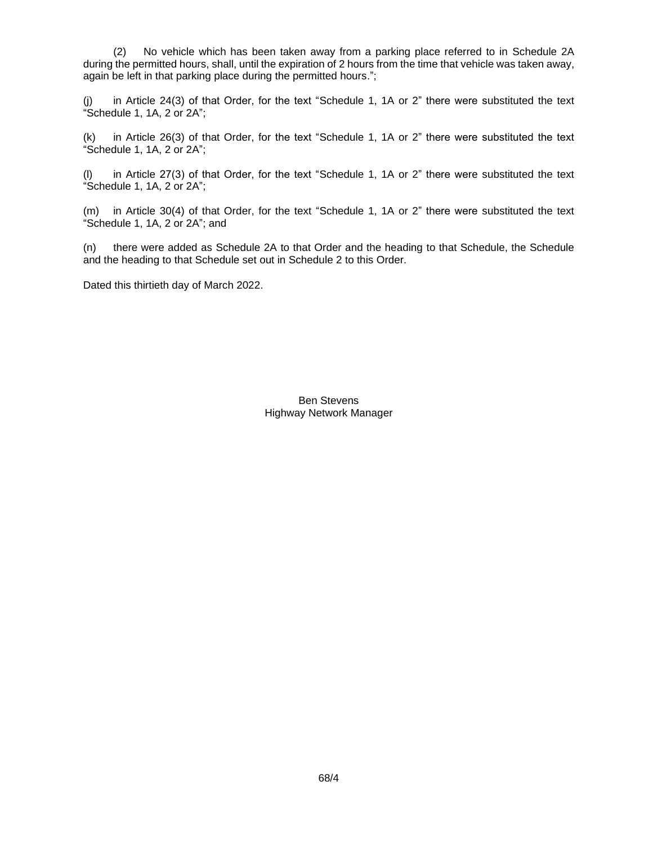(2) No vehicle which has been taken away from a parking place referred to in Schedule 2A during the permitted hours, shall, until the expiration of 2 hours from the time that vehicle was taken away, again be left in that parking place during the permitted hours.";

(j) in Article 24(3) of that Order, for the text "Schedule 1, 1A or 2" there were substituted the text "Schedule 1, 1A, 2 or 2A";

(k) in Article 26(3) of that Order, for the text "Schedule 1, 1A or 2" there were substituted the text "Schedule 1, 1A, 2 or 2A";

(l) in Article 27(3) of that Order, for the text "Schedule 1, 1A or 2" there were substituted the text "Schedule 1, 1A, 2 or 2A";

(m) in Article 30(4) of that Order, for the text "Schedule 1, 1A or 2" there were substituted the text "Schedule 1, 1A, 2 or 2A"; and

(n) there were added as Schedule 2A to that Order and the heading to that Schedule, the Schedule and the heading to that Schedule set out in Schedule 2 to this Order.

Dated this thirtieth day of March 2022.

Ben Stevens Highway Network Manager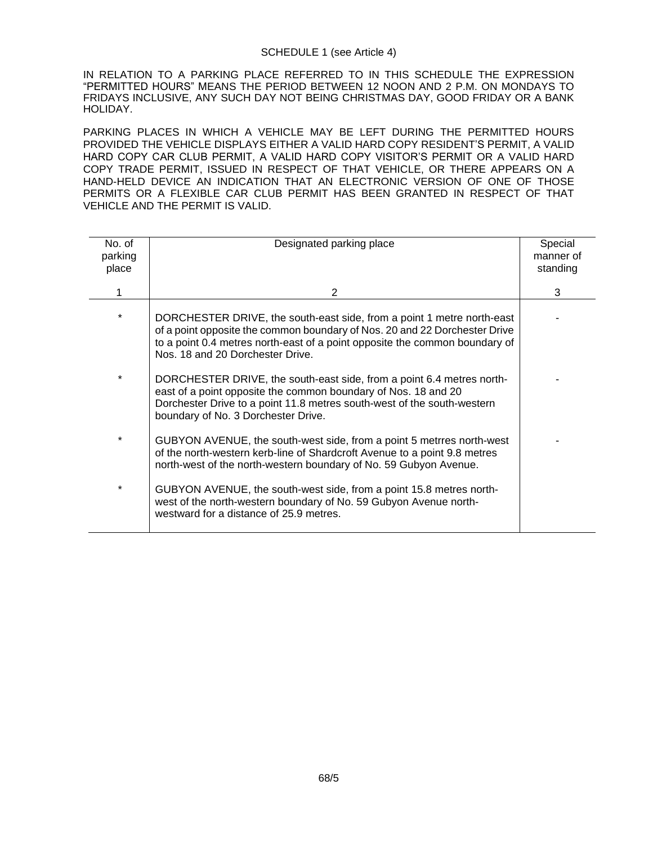#### SCHEDULE 1 (see Article 4)

IN RELATION TO A PARKING PLACE REFERRED TO IN THIS SCHEDULE THE EXPRESSION "PERMITTED HOURS" MEANS THE PERIOD BETWEEN 12 NOON AND 2 P.M. ON MONDAYS TO FRIDAYS INCLUSIVE, ANY SUCH DAY NOT BEING CHRISTMAS DAY, GOOD FRIDAY OR A BANK HOLIDAY.

PARKING PLACES IN WHICH A VEHICLE MAY BE LEFT DURING THE PERMITTED HOURS PROVIDED THE VEHICLE DISPLAYS EITHER A VALID HARD COPY RESIDENT'S PERMIT, A VALID HARD COPY CAR CLUB PERMIT, A VALID HARD COPY VISITOR'S PERMIT OR A VALID HARD COPY TRADE PERMIT, ISSUED IN RESPECT OF THAT VEHICLE, OR THERE APPEARS ON A HAND-HELD DEVICE AN INDICATION THAT AN ELECTRONIC VERSION OF ONE OF THOSE PERMITS OR A FLEXIBLE CAR CLUB PERMIT HAS BEEN GRANTED IN RESPECT OF THAT VEHICLE AND THE PERMIT IS VALID.

| No. of<br>parking<br>place | Designated parking place                                                                                                                                                                                                                                                | Special<br>manner of<br>standing |
|----------------------------|-------------------------------------------------------------------------------------------------------------------------------------------------------------------------------------------------------------------------------------------------------------------------|----------------------------------|
|                            | 2                                                                                                                                                                                                                                                                       | 3                                |
| $\star$                    | DORCHESTER DRIVE, the south-east side, from a point 1 metre north-east<br>of a point opposite the common boundary of Nos. 20 and 22 Dorchester Drive<br>to a point 0.4 metres north-east of a point opposite the common boundary of<br>Nos. 18 and 20 Dorchester Drive. |                                  |
| $\ast$                     | DORCHESTER DRIVE, the south-east side, from a point 6.4 metres north-<br>east of a point opposite the common boundary of Nos. 18 and 20<br>Dorchester Drive to a point 11.8 metres south-west of the south-western<br>boundary of No. 3 Dorchester Drive.               |                                  |
| $\star$                    | GUBYON AVENUE, the south-west side, from a point 5 metrres north-west<br>of the north-western kerb-line of Shardcroft Avenue to a point 9.8 metres<br>north-west of the north-western boundary of No. 59 Gubyon Avenue.                                                 |                                  |
| $\ast$                     | GUBYON AVENUE, the south-west side, from a point 15.8 metres north-<br>west of the north-western boundary of No. 59 Gubyon Avenue north-<br>westward for a distance of 25.9 metres.                                                                                     |                                  |